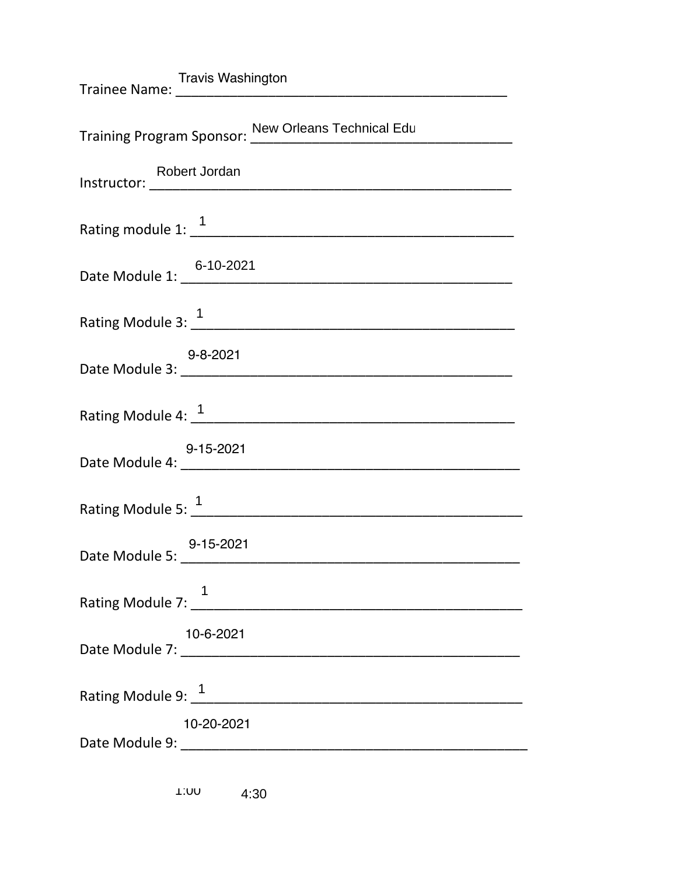| Training Program Sponsor: New Orleans Technical Edu |
|-----------------------------------------------------|
|                                                     |
| Rating module 1: $\frac{1}{1}$                      |
| Date Module 1: 6-10-2021                            |
| Rating Module 3: 1                                  |
| 9-8-2021<br>Date Module 3: 2021                     |
| Rating Module 4: 1                                  |
| 9-15-2021<br>Date Module 4: 20021                   |
| Rating Module 5: $\frac{1}{1}$                      |
|                                                     |
|                                                     |
| 10-6-2021                                           |
| Rating Module 9: 1                                  |
| 10-20-2021                                          |
|                                                     |

1:00 4:30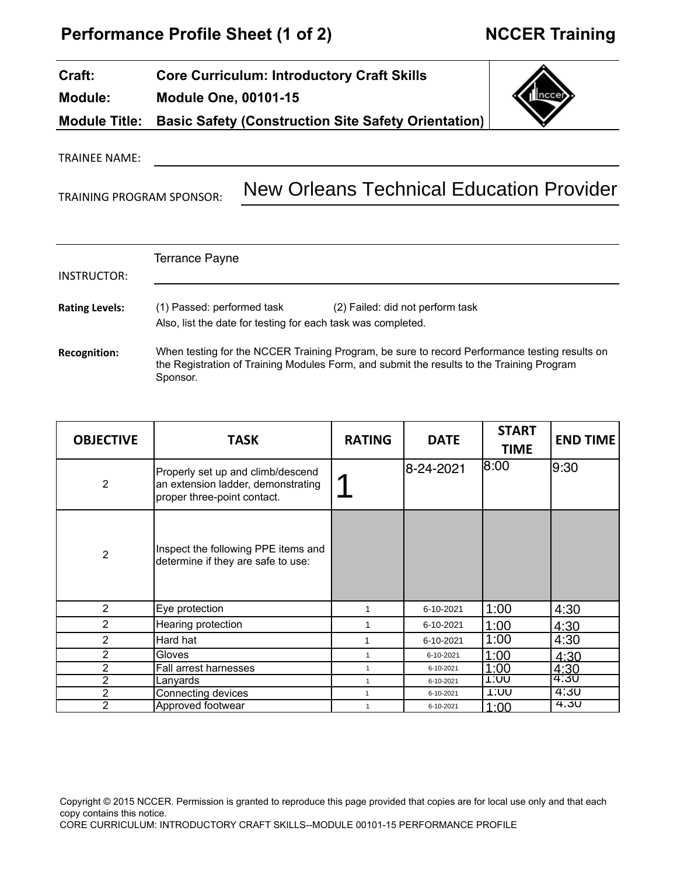# **Performance Profile Sheet (1 of 2) MCCER Training**

| <b>Craft:</b>  | <b>Core Curriculum: Introductory Craft Skills</b>                 |        |
|----------------|-------------------------------------------------------------------|--------|
| <b>Module:</b> | <b>Module One, 00101-15</b>                                       | Inccen |
|                | Module Title: Basic Safety (Construction Site Safety Orientation) |        |
|                |                                                                   |        |

TRAINEE NAME:

TRAINING PROGRAM SPONSOR:

New Orleans Technical Education Provider

| INSTRUCTOR:           | <b>Terrance Payne</b>                                                                      |                                                                                                                                                                                            |
|-----------------------|--------------------------------------------------------------------------------------------|--------------------------------------------------------------------------------------------------------------------------------------------------------------------------------------------|
| <b>Rating Levels:</b> | (1) Passed: performed task<br>Also, list the date for testing for each task was completed. | (2) Failed: did not perform task                                                                                                                                                           |
| <b>Recognition:</b>   | Sponsor.                                                                                   | When testing for the NCCER Training Program, be sure to record Performance testing results on<br>the Registration of Training Modules Form, and submit the results to the Training Program |

| <b>OBJECTIVE</b> | <b>TASK</b>                                                                                            | <b>RATING</b> | <b>DATE</b> | <b>START</b><br><b>TIME</b> | <b>END TIME</b> |
|------------------|--------------------------------------------------------------------------------------------------------|---------------|-------------|-----------------------------|-----------------|
| 2                | Properly set up and climb/descend<br>an extension ladder, demonstrating<br>proper three-point contact. |               | 8-24-2021   | 8:00                        | 9:30            |
| $\overline{2}$   | Inspect the following PPE items and<br>determine if they are safe to use:                              |               |             |                             |                 |
| $\mathbf{2}$     | Eye protection                                                                                         |               | 6-10-2021   | 1:00                        | 4:30            |
| 2                | Hearing protection                                                                                     |               | 6-10-2021   | 1:00                        | 4:30            |
| 2                | Hard hat                                                                                               |               | 6-10-2021   | 1:00                        | 4:30            |
| $\overline{2}$   | Gloves                                                                                                 |               | 6-10-2021   | 1:00                        | 4:30            |
| 2                | Fall arrest harnesses                                                                                  |               | 6-10-2021   | 1:00                        | 4:30            |
| 2                | Lanyards                                                                                               |               | 6-10-2021   | <b>1:00</b>                 | 4:30            |
| $\overline{2}$   | Connecting devices                                                                                     | 1             | 6-10-2021   | טט: ו                       | 4:30            |
| $\overline{2}$   | Approved footwear                                                                                      |               | 6-10-2021   | 1:00                        | 4.30            |

Copyright © 2015 NCCER. Permission is granted to reproduce this page provided that copies are for local use only and that each copy contains this notice. CORE CURRICULUM: INTRODUCTORY CRAFT SKILLS--MODULE 00101-15 PERFORMANCE PROFILE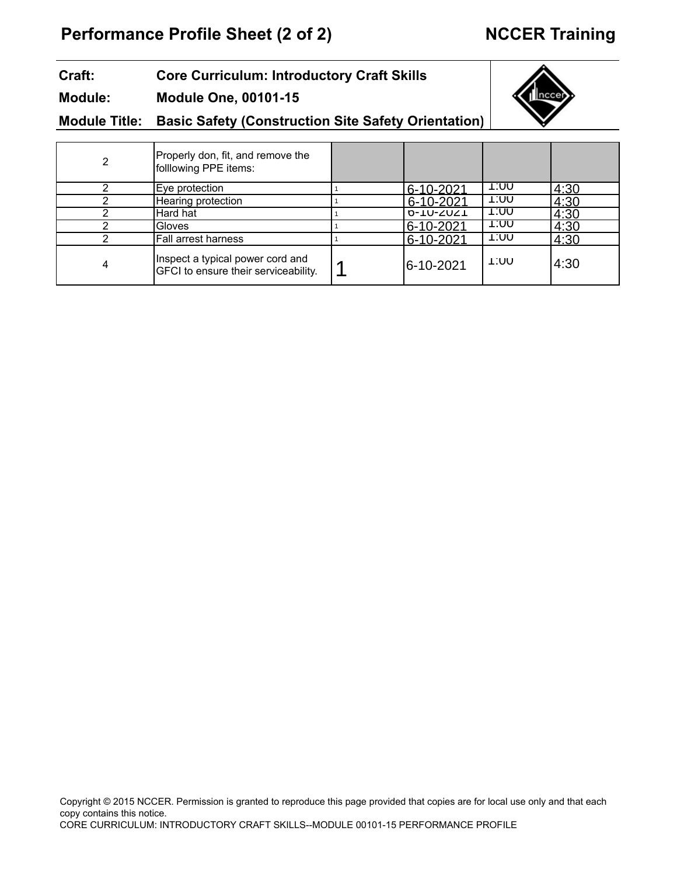# **Performance Profile Sheet (2 of 2) NCCER Training**

### **Craft: Module: Core Curriculum: Introductory Craft Skills Module One, 00101-15**



#### **Module Title: Basic Safety (Construction Site Safety Orientation)**

| 2 | Properly don, fit, and remove the<br>folllowing PPE items:               |           |      |      |
|---|--------------------------------------------------------------------------|-----------|------|------|
|   | Eye protection                                                           | 6-10-2021 | 1.UU | 4:30 |
| ◠ | Hearing protection                                                       | 6-10-2021 | טט:ו | 4:30 |
|   | Hard hat                                                                 | 0-10-2021 | 1.UU | 4:30 |
|   | Gloves                                                                   | 6-10-2021 | 1.UU | 4:30 |
|   | Fall arrest harness                                                      | 6-10-2021 | טט:ו | 4:30 |
| 4 | Inspect a typical power cord and<br>GFCI to ensure their serviceability. | 6-10-2021 | 1.UU | 4:30 |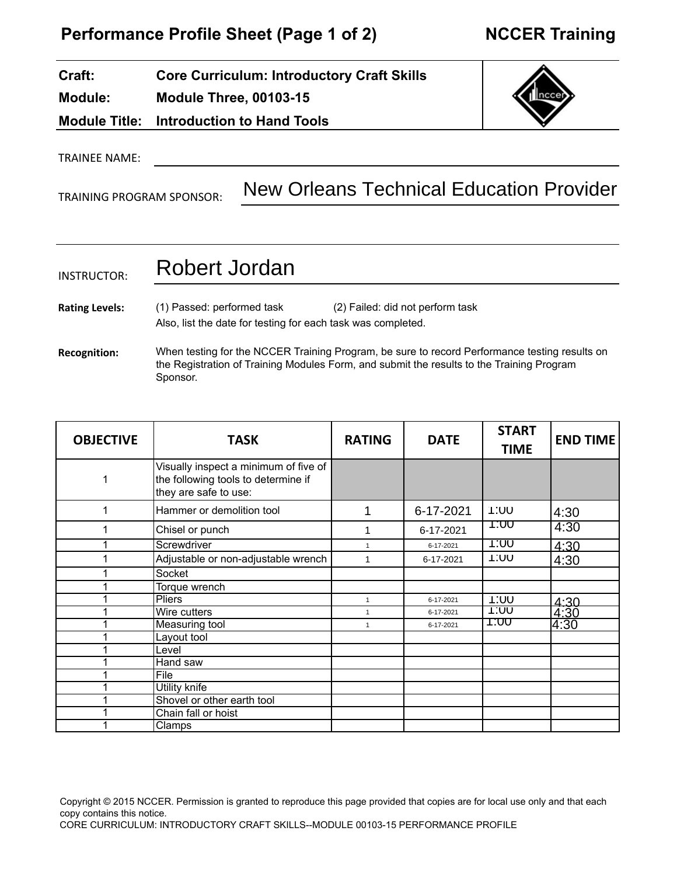#### **Craft: Module: Module Title: Core Curriculum: Introductory Craft Skills Module Three, 00103-15 Introduction to Hand Tools**



TRAINEE NAME:

TRAINING PROGRAM SPONSOR:

# New Orleans Technical Education Provider

# INSTRUCTOR: **Rating Levels: Recognition:** (1) Passed: performed task (2) Failed: did not perform task Also, list the date for testing for each task was completed. When testing for the NCCER Training Program, be sure to record Performance testing results on the Registration of Training Modules Form, and submit the results to the Training Program Sponsor. Robert Jordan

| <b>OBJECTIVE</b> | <b>TASK</b>                                                                                           | <b>RATING</b>  | <b>DATE</b> | <b>START</b><br><b>TIME</b> | <b>END TIME</b> |
|------------------|-------------------------------------------------------------------------------------------------------|----------------|-------------|-----------------------------|-----------------|
| 1                | Visually inspect a minimum of five of<br>the following tools to determine if<br>they are safe to use: |                |             |                             |                 |
| 1                | Hammer or demolition tool                                                                             |                | 6-17-2021   | 1:UU                        | 4:30            |
| 1                | Chisel or punch                                                                                       |                | 6-17-2021   | T.UU                        | 4:30            |
| 1                | Screwdriver                                                                                           |                | 6-17-2021   | 1:00                        | 4:30            |
| 1                | Adjustable or non-adjustable wrench                                                                   |                | 6-17-2021   | <b>1:00</b>                 | 4:30            |
| 1                | Socket                                                                                                |                |             |                             |                 |
| 1                | Torque wrench                                                                                         |                |             |                             |                 |
| 1                | <b>Pliers</b>                                                                                         | $\mathbf{1}$   | 6-17-2021   | <b>1:00</b>                 | <u>4.30</u>     |
| 4                | Wire cutters                                                                                          | $\overline{1}$ | 6-17-2021   | 1.UU                        | 4:30            |
| 1                | Measuring tool                                                                                        | $\mathbf{1}$   | 6-17-2021   | T:00                        | 4:30            |
| 1                | Layout tool                                                                                           |                |             |                             |                 |
| 4                | Level                                                                                                 |                |             |                             |                 |
|                  | Hand saw                                                                                              |                |             |                             |                 |
| 1                | File                                                                                                  |                |             |                             |                 |
|                  | <b>Utility knife</b>                                                                                  |                |             |                             |                 |
| 4                | Shovel or other earth tool                                                                            |                |             |                             |                 |
|                  | Chain fall or hoist                                                                                   |                |             |                             |                 |
|                  | Clamps                                                                                                |                |             |                             |                 |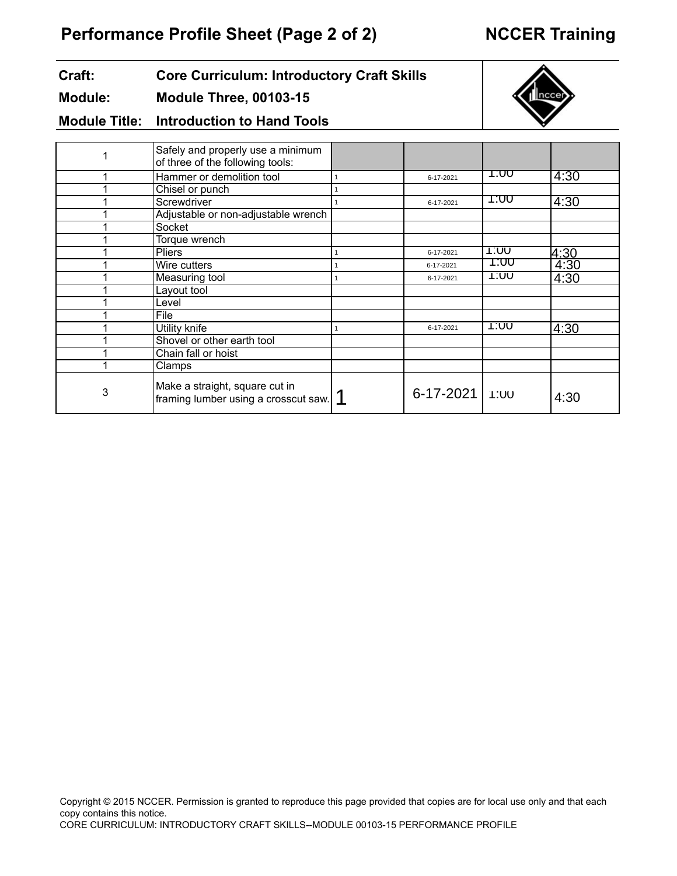### **Craft: Core Curriculum: Introductory Craft Skills**

#### **Module: Module Three, 00103-15**



**Module Title: Introduction to Hand Tools**

|   | Safely and properly use a minimum<br>of three of the following tools:  |                  |      |      |
|---|------------------------------------------------------------------------|------------------|------|------|
|   | Hammer or demolition tool                                              | 6-17-2021        | T.UU | 4:30 |
|   | Chisel or punch                                                        |                  |      |      |
|   | Screwdriver                                                            | 6-17-2021        | T.UU | 4:30 |
|   | Adjustable or non-adjustable wrench                                    |                  |      |      |
|   | Socket                                                                 |                  |      |      |
|   | Torque wrench                                                          |                  |      |      |
|   | Pliers                                                                 | 6-17-2021        | 1.UU | 4:30 |
|   | Wire cutters                                                           | 6-17-2021        | T.UU | 4:30 |
|   | Measuring tool                                                         | 6-17-2021        | 1.UU | 4:30 |
|   | Layout tool                                                            |                  |      |      |
|   | Level                                                                  |                  |      |      |
|   | File                                                                   |                  |      |      |
|   | Utility knife                                                          | 6-17-2021        | 1.UU | 4:30 |
|   | Shovel or other earth tool                                             |                  |      |      |
|   | Chain fall or hoist                                                    |                  |      |      |
|   | Clamps                                                                 |                  |      |      |
| 3 | Make a straight, square cut in<br>framing lumber using a crosscut saw. | 6-17-2021   1:00 |      | 4:30 |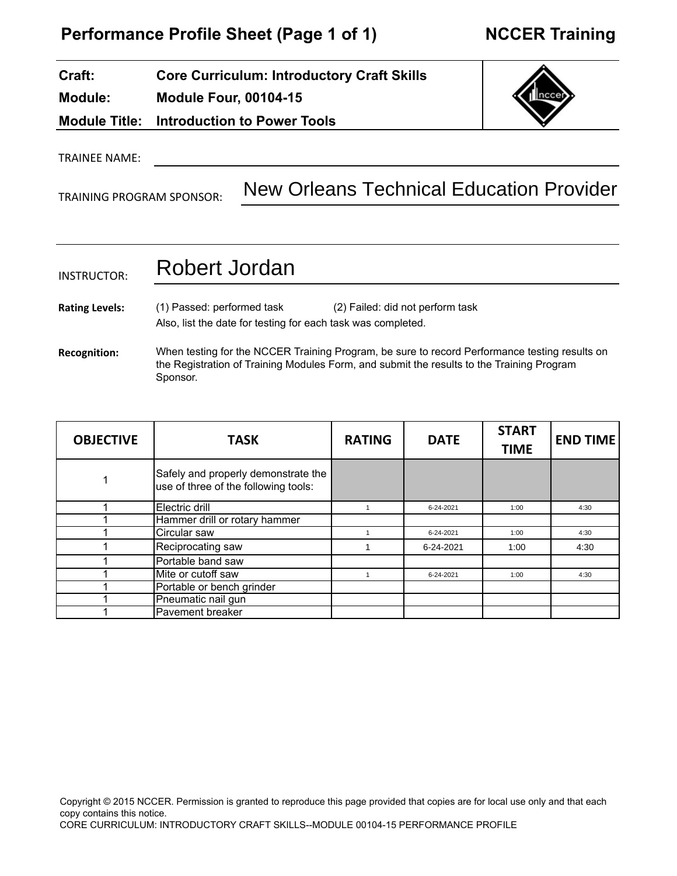# **Performance Profile Sheet (Page 1 of 1) NCCER Training**

#### **Craft: Module: Module Title: Core Curriculum: Introductory Craft Skills Module Four, 00104-15 Introduction to Power Tools**

# TRAINEE NAME:

TRAINING PROGRAM SPONSOR:

New Orleans Technical Education Provider

## INSTRUCTOR: **Rating Levels: Recognition:** Also, list the date for testing for each task was completed. When testing for the NCCER Training Program, be sure to record Performance testing results on the Registration of Training Modules Form, and submit the results to the Training Program Sponsor. (1) Passed: performed task (2) Failed: did not perform task Robert Jordan

| <b>OBJECTIVE</b> | <b>TASK</b>                                                                 | <b>RATING</b> | <b>DATE</b> | <b>START</b><br><b>TIME</b> | <b>END TIME</b> |
|------------------|-----------------------------------------------------------------------------|---------------|-------------|-----------------------------|-----------------|
| 1                | Safely and properly demonstrate the<br>use of three of the following tools: |               |             |                             |                 |
|                  | Electric drill                                                              |               | 6-24-2021   | 1:00                        | 4:30            |
|                  | Hammer drill or rotary hammer                                               |               |             |                             |                 |
|                  | Circular saw                                                                |               | 6-24-2021   | 1:00                        | 4:30            |
|                  | Reciprocating saw                                                           |               | 6-24-2021   | 1:00                        | 4:30            |
|                  | Portable band saw                                                           |               |             |                             |                 |
|                  | Mite or cutoff saw                                                          |               | 6-24-2021   | 1:00                        | 4:30            |
|                  | Portable or bench grinder                                                   |               |             |                             |                 |
|                  | Pneumatic nail gun                                                          |               |             |                             |                 |
|                  | Pavement breaker                                                            |               |             |                             |                 |

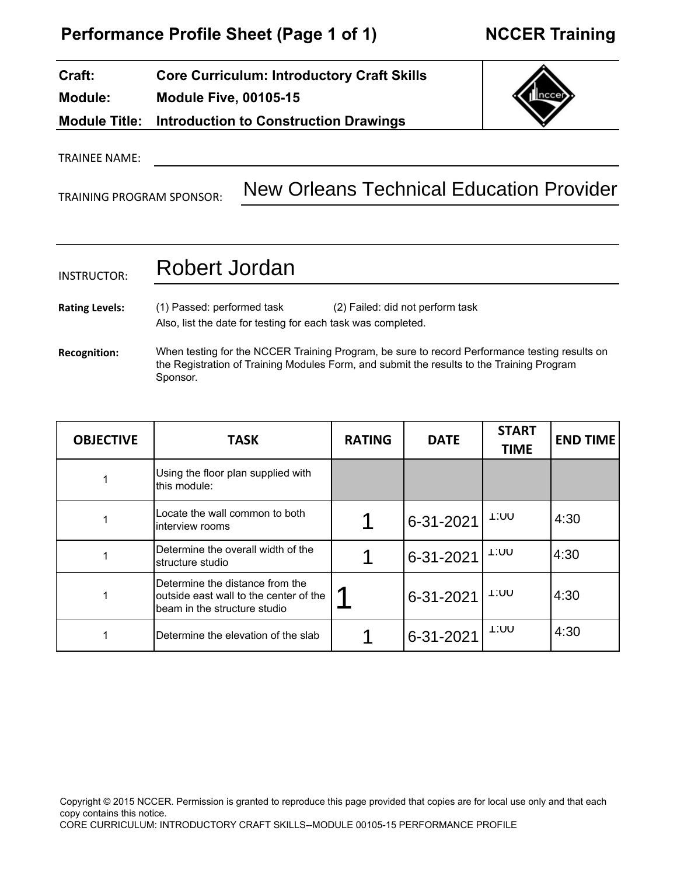| Craft:         | <b>Core Curriculum: Introductory Craft Skills</b>          |
|----------------|------------------------------------------------------------|
| <b>Module:</b> | <b>Module Five, 00105-15</b>                               |
|                | <b>Module Title: Introduction to Construction Drawings</b> |



TRAINEE NAME:

TRAINING PROGRAM SPONSOR:

New Orleans Technical Education Provider

# INSTRUCTOR: **Rating Levels: Recognition:** Also, list the date for testing for each task was completed. When testing for the NCCER Training Program, be sure to record Performance testing results on the Registration of Training Modules Form, and submit the results to the Training Program Sponsor. (1) Passed: performed task (2) Failed: did not perform task Robert Jordan

| <b>OBJECTIVE</b> | <b>TASK</b>                                                                                                 | <b>RATING</b> | <b>DATE</b> | <b>START</b><br><b>TIME</b> | <b>END TIME</b> |
|------------------|-------------------------------------------------------------------------------------------------------------|---------------|-------------|-----------------------------|-----------------|
|                  | Using the floor plan supplied with<br>Ithis module:                                                         |               |             |                             |                 |
|                  | Locate the wall common to both<br>linterview rooms                                                          |               | 6-31-2021   | 1.UU                        | 4:30            |
|                  | IDetermine the overall width of the<br>Istructure studio                                                    |               | 6-31-2021   | 1.UU                        | 4:30            |
|                  | Determine the distance from the<br>loutside east wall to the center of the<br>lbeam in the structure studio |               | 6-31-2021   | 1.UU                        | 4:30            |
|                  | IDetermine the elevation of the slab                                                                        |               | 6-31-2021   | 1.UU                        | 4:30            |

Copyright © 2015 NCCER. Permission is granted to reproduce this page provided that copies are for local use only and that each copy contains this notice. CORE CURRICULUM: INTRODUCTORY CRAFT SKILLS--MODULE 00105-15 PERFORMANCE PROFILE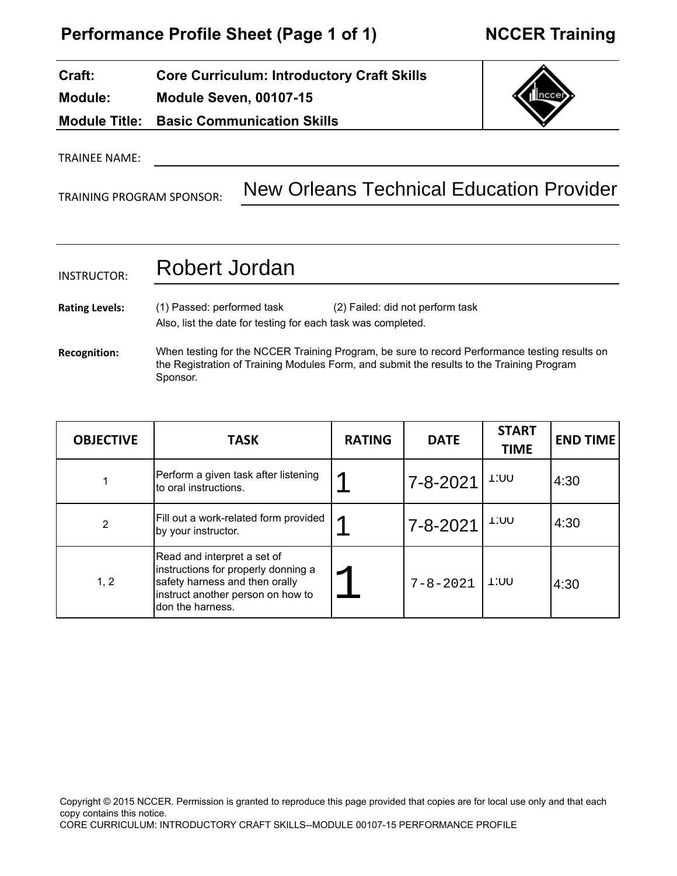# **Performance Profile Sheet (Page 1 of 1) NCCER Training**

### **Module: Module Title: Core Curriculum: Introductory Craft Skills Module Seven, 00107-15 Basic Communication Skills**

# TRAINEE NAME:

**Craft:**

TRAINING PROGRAM SPONSOR:

# New Orleans Technical Education Provider

### INSTRUCTOR: Robert Jordan

**Rating Levels:** (1) Passed: performed task (2) Failed: did not perform task Also, list the date for testing for each task was completed.

**Recognition:** When testing for the NCCER Training Program, be sure to record Performance testing results on the Registration of Training Modules Form, and submit the results to the Training Program Sponsor.

| <b>OBJECTIVE</b> | <b>TASK</b>                                                                                                                                                    | <b>RATING</b> | <b>DATE</b>    | <b>START</b><br><b>TIME</b> | <b>END TIME</b> |
|------------------|----------------------------------------------------------------------------------------------------------------------------------------------------------------|---------------|----------------|-----------------------------|-----------------|
|                  | Perform a given task after listening<br>to oral instructions.                                                                                                  |               | 7-8-2021       | 1:00                        | 4:30            |
| 2                | Fill out a work-related form provided<br>by your instructor.                                                                                                   |               | 7-8-2021       | 1:00                        | 4:30            |
| 1, 2             | Read and interpret a set of<br>instructions for properly donning a<br>safety harness and then orally<br>instruct another person on how to<br>ldon the harness. |               | $7 - 8 - 2021$ | 1:00                        | 4:30            |